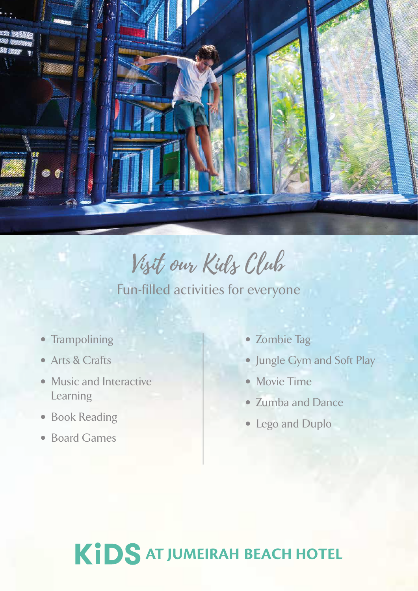

Visit our Kids Club

Fun-filled activities for everyone

- Trampolining
- Arts & Crafts
- Music and Interactive Learning
- Book Reading
- Board Games
- Zombie Tag
- Jungle Gym and Soft Play
- Movie Time
- Zumba and Dance
- Lego and Duplo

## KIDS AT JUMEIRAH BEACH HOTEL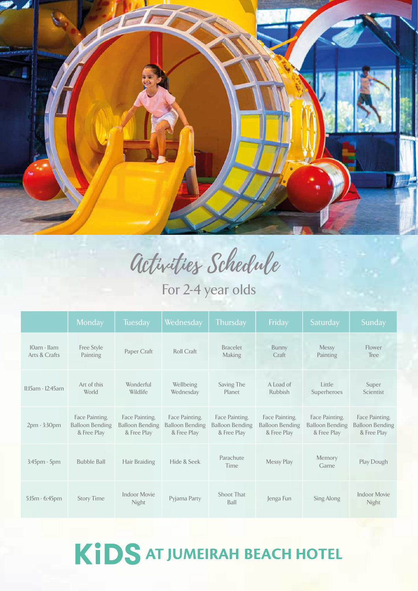

Activities Schedule

For 2-4 year olds

|                              | Monday                                                  | <b>Tuesday</b>                                          | Wednesday                                               | <b>Thursday</b>                                         | Friday                                                  | Saturday                                                | Sunday                                                  |
|------------------------------|---------------------------------------------------------|---------------------------------------------------------|---------------------------------------------------------|---------------------------------------------------------|---------------------------------------------------------|---------------------------------------------------------|---------------------------------------------------------|
| 10am - Ilam<br>Arts & Crafts | Free Style<br>Painting                                  | Paper Craft                                             | <b>Roll Craft</b>                                       | <b>Bracelet</b><br>Making                               | Bunny<br>Craft                                          | <b>Messy</b><br>Painting                                | Flower<br>Tree                                          |
| 11:15am - 12:45am            | Art of this<br>World                                    | Wonderful<br>Wildlife                                   | Wellbeing<br>Wednesday                                  | Saving The<br>Planet                                    | A Load of<br>Rubbish                                    | Little<br>Superheroes                                   | Super<br><b>Scientist</b>                               |
| 2pm - 3:30pm                 | Face Painting,<br><b>Balloon Bending</b><br>& Free Play | Face Painting,<br><b>Balloon Bending</b><br>& Free Play | Face Painting,<br><b>Balloon Bending</b><br>& Free Play | Face Painting,<br><b>Balloon Bending</b><br>& Free Play | Face Painting,<br><b>Balloon Bending</b><br>& Free Play | Face Painting,<br><b>Balloon Bending</b><br>& Free Play | Face Painting,<br><b>Balloon Bending</b><br>& Free Play |
| 3:45pm - 5pm                 | <b>Bubble Ball</b>                                      | Hair Braiding                                           | Hide & Seek                                             | Parachute<br>Time                                       | <b>Messy Play</b>                                       | Memory<br>Game                                          | Play Dough                                              |
| $5:15m - 6:45pm$             | <b>Story Time</b>                                       | <b>Indoor Movie</b><br><b>Night</b>                     | Pyjama Party                                            | Shoot That<br>Ball                                      | Jenga Fun                                               | Sing Along                                              | <b>Indoor Movie</b><br>Night                            |

## KIDS AT JUMEIRAH BEACH HOTEL